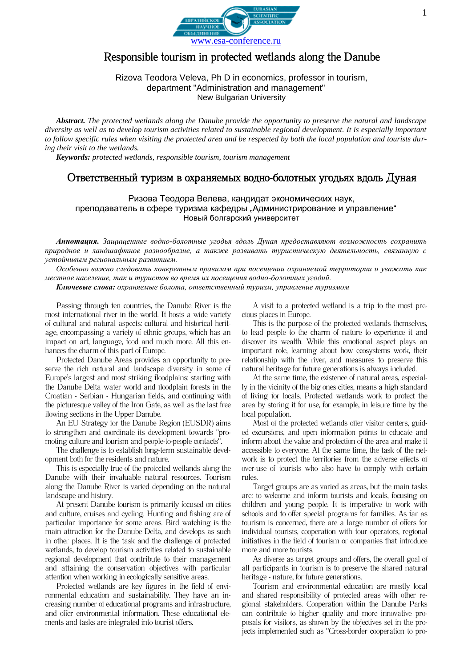

# Responsible tourism in protected wetlands along the Danube

### Rizova Teodora Veleva, Ph D in economics, professor in tourism, department "Administration and management" New Bulgarian University

*Abstract. The protected wetlands along the Danube provide the opportunity to preserve the natural and landscape diversity as well as to develop tourism activities related to sustainable regional development. It is especially important to follow specific rules when visiting the protected area and be respected by both the local population and tourists during their visit to the wetlands.*

*Keywords: protected wetlands, responsible tourism, tourism management*

## Ответственный туризм в охраняемых водно-болотных угодьях вдоль Дуная

Ризова Теодора Велева, кандидат экономических наук, преподаватель в сфере туризма кафедры "Администрирование и управление" Новый болгарский университет

*Аннотация. Защищенные водно-болотные угодья вдоль Дуная предоставляют возможность сохранить природное и ландшафтное разнообразие, а также развивать туристическую деятельность, связанную с устойчивым региональным развитием.*

*Особенно важно следовать конкретным правилам при посещении охраняемой территории и уважать как местное население, так и туристов во время их посещения водно-болотных угодий.*

*Ключевые слова: охраняемые болота, ответственный туризм, управление туризмом*

Passing through ten countries, the Danube River is the most international river in the world. It hosts a wide variety of cultural and natural aspects: cultural and historical heritage, encompassing a variety of ethnic groups, which has an impact on art, language, food and much more. All this enhances the charm of this part of Europe.

Protected Danube Areas provides an opportunity to preserve the rich natural and landscape diversity in some of Europe's largest and most striking floodplains: starting with the Danube Delta water world and floodplain forests in the Croatian - Serbian - Hungarian fields, and continuing with the picturesque valley of the Iron Gate, as well as the last free flowing sections in the Upper Danube.

An EU Strategy for the Danube Region (EUSDR) aims to strengthen and coordinate its development towards "promoting culture and tourism and people-to-people contacts".

The challenge is to establish long-term sustainable development both for the residents and nature.

This is especially true of the protected wetlands along the Danube with their invaluable natural resources. Tourism along the Danube River is varied depending on the natural landscape and history.

At present Danube tourism is primarily focused on cities and culture, cruises and cycling. Hunting and fishing are of particular importance for some areas. Bird watching is the main attraction for the Danube Delta, and develops as such in other places. It is the task and the challenge of protected wetlands, to develop tourism activities related to sustainable regional development that contribute to their management and attaining the conservation objectives with particular attention when working in ecologically sensitive areas.

Protected wetlands are key figures in the field of environmental education and sustainability. They have an increasing number of educational programs and infrastructure, and offer environmental information. These educational elements and tasks are integrated into tourist offers.

A visit to a protected wetland is a trip to the most precious places in Europe.

This is the purpose of the protected wetlands themselves, to lead people to the charm of nature to experience it and discover its wealth. While this emotional aspect plays an important role, learning about how ecosystems work, their relationship with the river, and measures to preserve this natural heritage for future generations is always included.

At the same time, the existence of natural areas, especially in the vicinity of the big ones cities, means a high standard of living for locals. Protected wetlands work to protect the area by storing it for use, for example, in leisure time by the local population.

Most of the protected wetlands offer visitor centers, guided excursions, and open information points to educate and inform about the value and protection of the area and make it accessible to everyone. At the same time, the task of the network is to protect the territories from the adverse effects of over-use of tourists who also have to comply with certain rules.

Target groups are as varied as areas, but the main tasks are: to welcome and inform tourists and locals, focusing on children and young people. It is imperative to work with schools and to offer special programs for families. As far as tourism is concerned, there are a large number of offers for individual tourists, cooperation with tour operators, regional initiatives in the field of tourism or companies that introduce more and more tourists.

As diverse as target groups and offers, the overall goal of all participants in tourism is to preserve the shared natural heritage - nature, for future generations.

Tourism and environmental education are mostly local and shared responsibility of protected areas with other regional stakeholders. Cooperation within the Danube Parks can contribute to higher quality and more innovative proposals for visitors, as shown by the objectives set in the projects implemented such as "Cross-border cooperation to pro-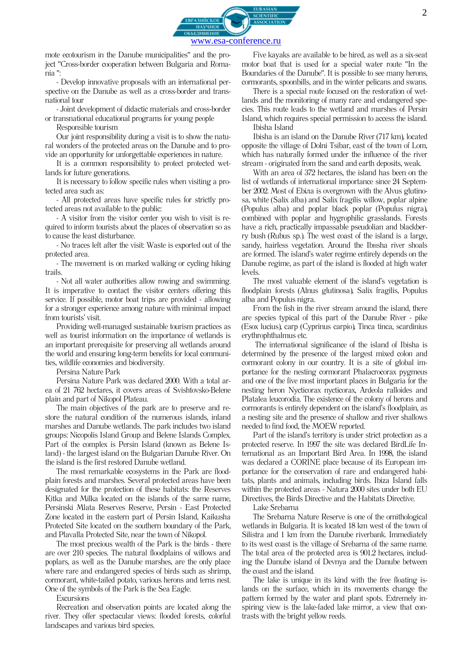

mote ecotourism in the Danube municipalities" and the project "Cross-border cooperation between Bulgaria and Romania ":

- Develop innovative proposals with an international perspective on the Danube as well as a cross-border and transnational tour

- Joint development of didactic materials and cross-border or transnational educational programs for young people

Responsible tourism

Our joint responsibility during a visit is to show the natural wonders of the protected areas on the Danube and to provide an opportunity for unforgettable experiences in nature.

It is a common responsibility to protect protected wetlands for future generations.

It is necessary to follow specific rules when visiting a protected area such as:

- All protected areas have specific rules for strictly protected areas not available to the public:

- A visitor from the visitor center you wish to visit is required to inform tourists about the places of observation so as to cause the least disturbance.

- No traces left after the visit: Waste is exported out of the protected area.

- The movement is on marked walking or cycling hiking trails.

- Not all water authorities allow rowing and swimming. It is imperative to contact the visitor centers offering this service. If possible, motor boat trips are provided - allowing for a stronger experience among nature with minimal impact from tourists' visit.

Providing well-managed sustainable tourism practices as well as tourist information on the importance of wetlands is an important prerequisite for preserving all wetlands around the world and ensuring long-term benefits for local communities, wildlife economies and biodiversity.

Persina Nature Park

Persina Nature Park was declared 2000. With a total area of 21 762 hectares, it covers areas of Svishtovsko-Belene plain and part of Nikopol Plateau.

The main objectives of the park are to preserve and restore the natural condition of the numerous islands, inland marshes and Danube wetlands. The park includes two island groups: Nicopolis Island Group and Belene Islands Complex. Part of the complex is Persin Island (known as Belene Island) - the largest island on the Bulgarian Danube River. On the island is the first restored Danube wetland.

The most remarkable ecosystems in the Park are floodplain forests and marshes. Several protected areas have been designated for the protection of these habitats: the Reserves Kitka and Milka located on the islands of the same name, Persinski Mlata Reserves Reserve, Persin - East Protected Zone located in the eastern part of Persin Island, Kaikusha Protected Site located on the southern boundary of the Park, and Plavalla Protected Site, near the town of Nikopol.

The most precious wealth of the Park is the birds - there are over 210 species. The natural floodplains of willows and poplars, as well as the Danube marshes, are the only place where rare and endangered species of birds such as shrimp, cormorant, white-tailed potato, various herons and terns nest. One of the symbols of the Park is the Sea Eagle.

**Excursions** 

Recreation and observation points are located along the river. They offer spectacular views: flooded forests, colorful landscapes and various bird species.

Five kayaks are available to be hired, as well as a six-seat motor boat that is used for a special water route "In the Boundaries of the Danube". It is possible to see many herons, cormorants, spoonbills, and in the winter pelicans and swans.

There is a special route focused on the restoration of wetlands and the monitoring of many rare and endangered species. This route leads to the wetland and marshes of Persin Island, which requires special permission to access the island. Ibisha Island

Ibisha is an island on the Danube River (717 km), located opposite the village of Dolni Tsibar, east of the town of Lom, which has naturally formed under the influence of the river stream - originated from the sand and earth deposits, weak.

With an area of 372 hectares, the island has been on the list of wetlands of international importance since 24 September 2002. Most of Ebiла is overgrown with the Alvus glutinosa, white (Salix alba) and Salix fragilis willow, poplar alpine (Populus alba) and poplar black poplar (Populus nigra), combined with poplar and hygrophilic grasslands. Forests have a rich, practically impassable pseudolian and blackberry bush (Rubus sp.). The west coast of the island is a large, sandy, hairless vegetation. Around the IbHsha river shoals are formed. The island's water regime entirely depends on the Danube regime, as part of the island is flooded at high water levels.

The most valuable element of the island's vegetation is floodplain forests (Alnus glutinosa), Salix fragilis, Populus alba and Populus nigra.

From the fish in the river stream around the island, there are species typical of this part of the Danube River - pike (Esox lucius), carp (Cyprinus carpio), Tinca tinca, scardinius erythrophthalmus etc.

The international significance of the island of Ibisha is determined by the presence of the largest mixed colon and cormorant colony in our country. It is a site of global importance for the nesting cormorant Phalacrocorax pygmeus and one of the five most important places in Bulgaria for the nesting heron Nycticorax nycticorax, Ardeola ralloides and Platalea leucorodia. The existence of the colony of herons and cormorants is entirely dependent on the island's floodplain, as a nesting site and the presence of shallow and river shallows needed to find food, the MOEW reported.

Part of the island's territory is under strict protection as a protected reserve. In 1997 the site was declared BirdLife International as an Important Bird Area. In 1998, the island was declared a CORINE place because of its European importance for the conservation of rare and endangered habitats, plants and animals, including birds. Ibiza Island falls within the protected areas - Natura 2000 sites under both EU Directives, the Birds Directive and the Habitats Directive.

Lake Srebarna

The Srebarna Nature Reserve is one of the ornithological wetlands in Bulgaria. It is located 18 km west of the town of Silistra and 1 km from the Danube riverbank. Immediately to its west coast is the village of Srebarna of the same name. The total area of the protected area is 901.2 hectares, including the Danube island of Devnya and the Danube between the coast and the island.

The lake is unique in its kind with the free floating islands on the surface, which in its movements change the pattern formed by the water and plant spots. Extremely inspiring view is the lake-faded lake mirror, a view that contrasts with the bright yellow reeds.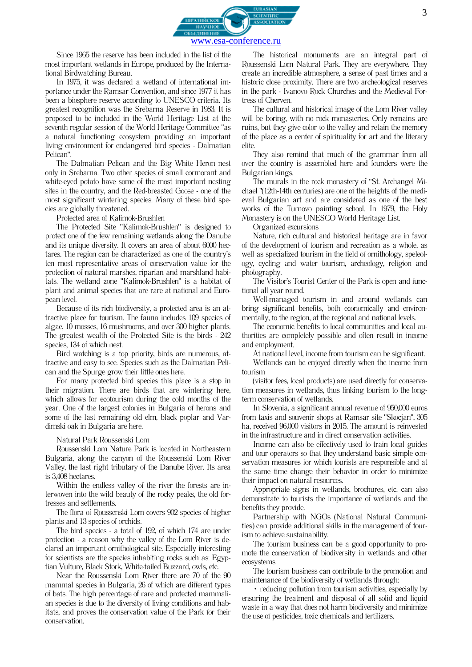

Since 1965 the reserve has been included in the list of the most important wetlands in Europe, produced by the International Birdwatching Bureau.

In 1975, it was declared a wetland of international importance under the Ramsar Convention, and since 1977 it has been a biosphere reserve according to UNESCO criteria. Its greatest recognition was the Srebarna Reserve in 1983. It is proposed to be included in the World Heritage List at the seventh regular session of the World Heritage Committee "as a natural functioning ecosystem providing an important living environment for endangered bird species - Dalmatian Pelican".

The Dalmatian Pelican and the Big White Heron nest only in Srebarna. Two other species of small cormorant and white-eyed potato have some of the most important nesting sites in the country, and the Red-breasted Goose - one of the most significant wintering species. Many of these bird species are globally threatened.

Protected area of Kalimok-Brushlen

The Protected Site "Kalimok-Brushlen" is designed to protect one of the few remaining wetlands along the Danube and its unique diversity. It covers an area of about 6000 hectares. The region can be characterized as one of the country's ten most representative areas of conservation value for the protection of natural marshes, riparian and marshland habitats. The wetland zone "Kalimok-Brushlen" is a habitat of plant and animal species that are rare at national and European level.

Because of its rich biodiversity, a protected area is an attractive place for tourism. The fauna includes 109 species of algae, 10 mosses, 16 mushrooms, and over 300 higher plants. The greatest wealth of the Protected Site is the birds - 242 species, 134 of which nest.

Bird watching is a top priority, birds are numerous, attractive and easy to see. Species such as the Dalmatian Pelican and the Spurge grow their little ones here.

For many protected bird species this place is a stop in their migration. There are birds that are wintering here, which allows for ecotourism during the cold months of the year. One of the largest colonies in Bulgaria of herons and some of the last remaining old elm, black poplar and Vardimski oak in Bulgaria are here.

#### Natural Park Roussenski Lom

Roussenski Lom Nature Park is located in Northeastern Bulgaria, along the canyon of the Roussenski Lom River Valley, the last right tributary of the Danube River. Its area is 3,408 hectares.

Within the endless valley of the river the forests are interwoven into the wild beauty of the rocky peaks, the old fortresses and settlements.

The flora of Roussenski Lom covers 902 species of higher plants and 13 species of orchids.

The bird species - a total of 192, of which 174 are under protection - a reason why the valley of the Lom River is declared an important ornithological site. Especially interesting for scientists are the species inhabiting rocks such as: Egyptian Vulture, Black Stork, White-tailed Buzzard, owls, etc.

Near the Roussenski Lom River there are 70 of the 90 mammal species in Bulgaria, 26 of which are different types of bats. The high percentage of rare and protected mammalian species is due to the diversity of living conditions and habitats, and proves the conservation value of the Park for their conservation.

The historical monuments are an integral part of Roussenski Lom Natural Park. They are everywhere. They create an incredible atmosphere, a sense of past times and a historic close proximity. There are two archeological reserves in the park - Ivanovo Rock Churches and the Medieval Fortress of Cherven.

The cultural and historical image of the Lom River valley will be boring, with no rock monasteries. Only remains are ruins, but they give color to the valley and retain the memory of the place as a center of spirituality for art and the literary elite.

They also remind that much of the grammar from all over the country is assembled here and founders were the Bulgarian kings.

The murals in the rock monastery of "St. Archangel Michael "(12th-14th centuries) are one of the heights of the medieval Bulgarian art and are considered as one of the best works of the Turnovo painting school. In 1979, the Holy Monastery is on the UNESCO World Heritage List.

Organized excursions

Nature, rich cultural and historical heritage are in favor of the development of tourism and recreation as a whole, as well as specialized tourism in the field of ornithology, speleology, cycling and water tourism, archeology, religion and photography.

The Visitor's Tourist Center of the Park is open and functional all year round.

Well-managed tourism in and around wetlands can bring significant benefits, both economically and environmentally, to the region, at the regional and national levels.

The economic benefits to local communities and local authorities are completely possible and often result in income and employment.

At national level, income from tourism can be significant.

Wetlands can be enjoyed directly when the income from tourism

(visitor fees, local products) are used directly for conservation measures in wetlands, thus linking tourism to the longterm conservation of wetlands.

In Slovenia, a significant annual revenue of 950,000 euros from taxis and souvenir shops at Ramsar site "Skocjan", 305 ha, received 96,000 visitors in 2015. The amount is reinvested in the infrastructure and in direct conservation activities.

Income can also be effectively used to train local guides and tour operators so that they understand basic simple conservation measures for which tourists are responsible and at the same time change their behavior in order to minimize their impact on natural resources.

Appropriate signs in wetlands, brochures, etc. can also demonstrate to tourists the importance of wetlands and the benefits they provide.

Partnership with NGOs (National Natural Communities) can provide additional skills in the management of tourism to achieve sustainability.

The tourism business can be a good opportunity to promote the conservation of biodiversity in wetlands and other ecosystems.

The tourism business can contribute to the promotion and maintenance of the biodiversity of wetlands through:

• reducing pollution from tourism activities, especially by ensuring the treatment and disposal of all solid and liquid waste in a way that does not harm biodiversity and minimize the use of pesticides, toxic chemicals and fertilizers.